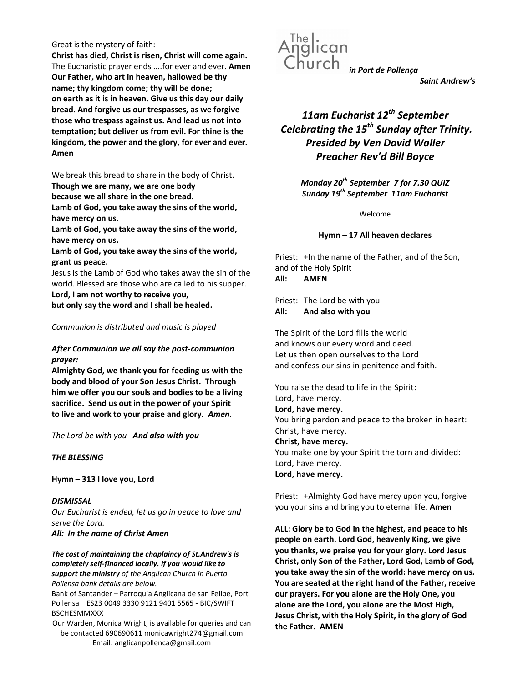## Great is the mystery of faith:

Christ has died, Christ is risen, Christ will come again. The Eucharistic prayer ends ....for ever and ever. Amen Our Father, who art in heaven, hallowed be thy name; thy kingdom come; thy will be done; on earth as it is in heaven. Give us this day our daily bread. And forgive us our trespasses, as we forgive those who trespass against us. And lead us not into temptation; but deliver us from evil. For thine is the kingdom, the power and the glory, for ever and ever. Amen

We break this bread to share in the body of Christ.

Though we are many, we are one body

because we all share in the one bread.

Lamb of God, you take away the sins of the world, have mercy on us.

Lamb of God, you take away the sins of the world, have mercy on us.

Lamb of God, you take away the sins of the world, grant us peace.

Jesus is the Lamb of God who takes away the sin of the world. Blessed are those who are called to his supper. Lord, I am not worthy to receive you,

but only say the word and I shall be healed.

## Communion is distributed and music is played

# After Communion we all say the post-communion prayer:

Almighty God, we thank you for feeding us with the body and blood of your Son Jesus Christ. Through him we offer you our souls and bodies to be a living sacrifice. Send us out in the power of your Spirit to live and work to your praise and glory. Amen.

The Lord be with you And also with you

## THE BLESSING

Hymn – 313 I love you, Lord

**DISMISSAL** Our Eucharist is ended, let us go in peace to love and serve the Lord.

All: In the name of Christ Amen

The cost of maintaining the chaplaincy of St.Andrew's is completely self-financed locally. If you would like to support the ministry of the Anglican Church in Puerto Pollensa bank details are below.

Bank of Santander – Parroquia Anglicana de san Felipe, Port Pollensa ES23 0049 3330 9121 9401 5565 - BIC/SWIFT BSCHESMMXXX

Our Warden, Monica Wright, is available for queries and can be contacted 690690611 monicawright274@gmail.com Email: anglicanpollenca@gmail.com



Saint Andrew's

# 11am Eucharist  $12^{th}$  September Celebrating the  $15^{th}$  Sunday after Trinity. Presided by Ven David Waller Preacher Rev'd Bill Boyce

Monday 20<sup>th</sup> September 7 for 7.30 QUIZ Sunday 19<sup>th</sup> September 11am Eucharist

Welcome

## Hymn – 17 All heaven declares

Priest: +In the name of the Father, and of the Son, and of the Holy Spirit All: AMEN

Priest: The Lord be with you All: And also with you

The Spirit of the Lord fills the world and knows our every word and deed. Let us then open ourselves to the Lord and confess our sins in penitence and faith.

You raise the dead to life in the Spirit: Lord, have mercy. Lord, have mercy. You bring pardon and peace to the broken in heart: Christ, have mercy.

Christ, have mercy.

You make one by your Spirit the torn and divided: Lord, have mercy. Lord, have mercy.

Priest: +Almighty God have mercy upon you, forgive you your sins and bring you to eternal life. Amen

ALL: Glory be to God in the highest, and peace to his people on earth. Lord God, heavenly King, we give you thanks, we praise you for your glory. Lord Jesus Christ, only Son of the Father, Lord God, Lamb of God, you take away the sin of the world: have mercy on us. You are seated at the right hand of the Father, receive our prayers. For you alone are the Holy One, you alone are the Lord, you alone are the Most High, Jesus Christ, with the Holy Spirit, in the glory of God the Father. AMEN